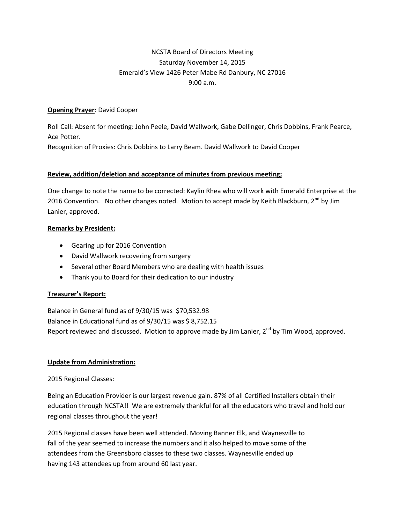# NCSTA Board of Directors Meeting Saturday November 14, 2015 Emerald's View 1426 Peter Mabe Rd Danbury, NC 27016 9:00 a.m.

#### **Opening Prayer**: David Cooper

Roll Call: Absent for meeting: John Peele, David Wallwork, Gabe Dellinger, Chris Dobbins, Frank Pearce, Ace Potter.

Recognition of Proxies: Chris Dobbins to Larry Beam. David Wallwork to David Cooper

#### **Review, addition/deletion and acceptance of minutes from previous meeting;**

One change to note the name to be corrected: Kaylin Rhea who will work with Emerald Enterprise at the 2016 Convention. No other changes noted. Motion to accept made by Keith Blackburn,  $2<sup>nd</sup>$  by Jim Lanier, approved.

#### **Remarks by President:**

- Gearing up for 2016 Convention
- David Wallwork recovering from surgery
- Several other Board Members who are dealing with health issues
- Thank you to Board for their dedication to our industry

## **Treasurer's Report:**

Balance in General fund as of 9/30/15 was \$70,532.98 Balance in Educational fund as of 9/30/15 was \$ 8,752.15 Report reviewed and discussed. Motion to approve made by Jim Lanier, 2<sup>nd</sup> by Tim Wood, approved.

## **Update from Administration:**

## 2015 Regional Classes:

Being an Education Provider is our largest revenue gain. 87% of all Certified Installers obtain their education through NCSTA!! We are extremely thankful for all the educators who travel and hold our regional classes throughout the year!

2015 Regional classes have been well attended. Moving Banner Elk, and Waynesville to fall of the year seemed to increase the numbers and it also helped to move some of the attendees from the Greensboro classes to these two classes. Waynesville ended up having 143 attendees up from around 60 last year.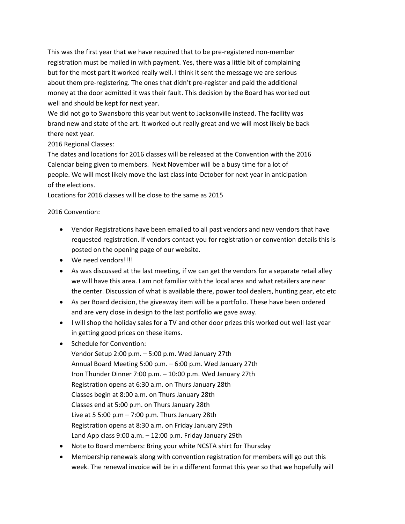This was the first year that we have required that to be pre-registered non-member registration must be mailed in with payment. Yes, there was a little bit of complaining but for the most part it worked really well. I think it sent the message we are serious about them pre-registering. The ones that didn't pre-register and paid the additional money at the door admitted it was their fault. This decision by the Board has worked out well and should be kept for next year.

We did not go to Swansboro this year but went to Jacksonville instead. The facility was brand new and state of the art. It worked out really great and we will most likely be back there next year.

## 2016 Regional Classes:

The dates and locations for 2016 classes will be released at the Convention with the 2016 Calendar being given to members. Next November will be a busy time for a lot of people. We will most likely move the last class into October for next year in anticipation of the elections.

Locations for 2016 classes will be close to the same as 2015

#### 2016 Convention:

- Vendor Registrations have been emailed to all past vendors and new vendors that have requested registration. If vendors contact you for registration or convention details this is posted on the opening page of our website.
- We need vendors!!!!
- As was discussed at the last meeting, if we can get the vendors for a separate retail alley we will have this area. I am not familiar with the local area and what retailers are near the center. Discussion of what is available there, power tool dealers, hunting gear, etc etc
- As per Board decision, the giveaway item will be a portfolio. These have been ordered and are very close in design to the last portfolio we gave away.
- I will shop the holiday sales for a TV and other door prizes this worked out well last year in getting good prices on these items.
- Schedule for Convention:
	- Vendor Setup 2:00 p.m. 5:00 p.m. Wed January 27th Annual Board Meeting 5:00 p.m. – 6:00 p.m. Wed January 27th Iron Thunder Dinner 7:00 p.m. – 10:00 p.m. Wed January 27th Registration opens at 6:30 a.m. on Thurs January 28th Classes begin at 8:00 a.m. on Thurs January 28th Classes end at 5:00 p.m. on Thurs January 28th Live at 5 5:00 p.m  $-$  7:00 p.m. Thurs January 28th Registration opens at 8:30 a.m. on Friday January 29th Land App class 9:00 a.m. – 12:00 p.m. Friday January 29th
- Note to Board members: Bring your white NCSTA shirt for Thursday
- Membership renewals along with convention registration for members will go out this week. The renewal invoice will be in a different format this year so that we hopefully will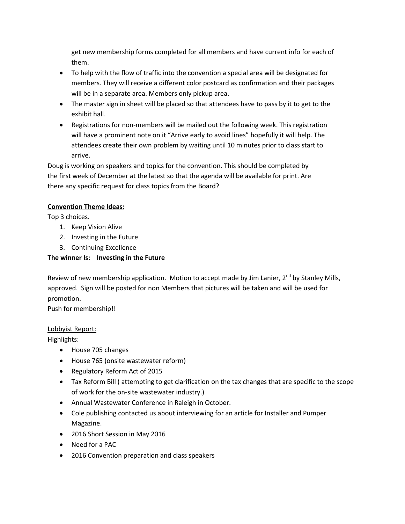get new membership forms completed for all members and have current info for each of them.

- To help with the flow of traffic into the convention a special area will be designated for members. They will receive a different color postcard as confirmation and their packages will be in a separate area. Members only pickup area.
- The master sign in sheet will be placed so that attendees have to pass by it to get to the exhibit hall.
- Registrations for non-members will be mailed out the following week. This registration will have a prominent note on it "Arrive early to avoid lines" hopefully it will help. The attendees create their own problem by waiting until 10 minutes prior to class start to arrive.

Doug is working on speakers and topics for the convention. This should be completed by the first week of December at the latest so that the agenda will be available for print. Are there any specific request for class topics from the Board?

## **Convention Theme Ideas:**

Top 3 choices.

- 1. Keep Vision Alive
- 2. Investing in the Future
- 3. Continuing Excellence

## **The winner Is: Investing in the Future**

Review of new membership application. Motion to accept made by Jim Lanier, 2<sup>nd</sup> by Stanley Mills, approved. Sign will be posted for non Members that pictures will be taken and will be used for promotion.

Push for membership!!

## Lobbyist Report:

Highlights:

- House 705 changes
- House 765 (onsite wastewater reform)
- Regulatory Reform Act of 2015
- Tax Reform Bill ( attempting to get clarification on the tax changes that are specific to the scope of work for the on-site wastewater industry.)
- Annual Wastewater Conference in Raleigh in October.
- Cole publishing contacted us about interviewing for an article for Installer and Pumper Magazine.
- 2016 Short Session in May 2016
- Need for a PAC
- 2016 Convention preparation and class speakers